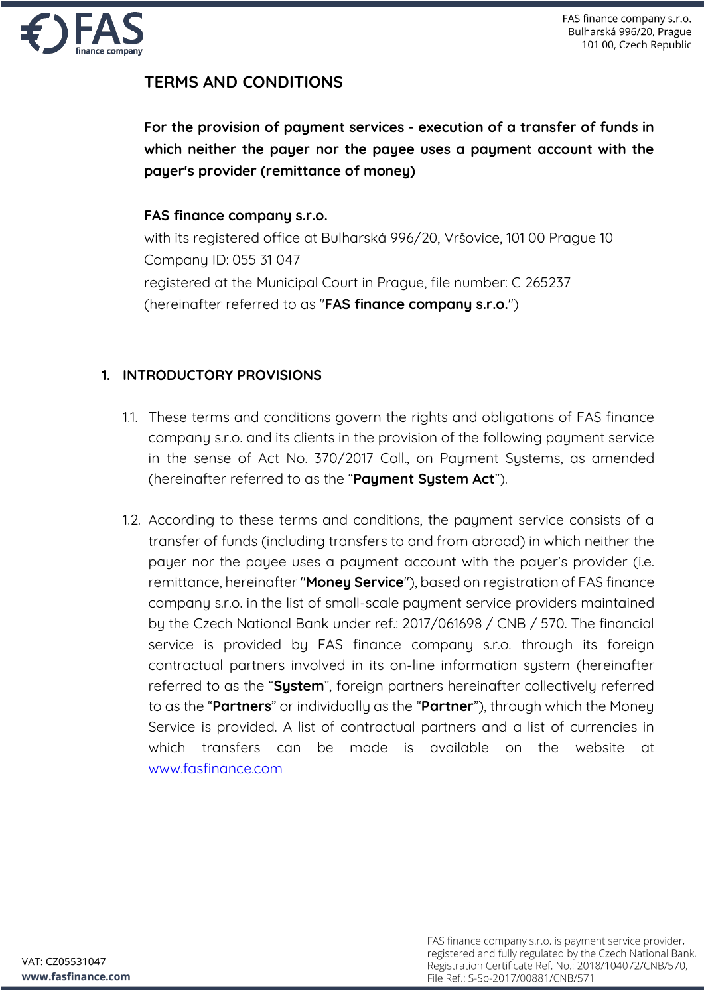

# **TERMS AND CONDITIONS**

**For the provision of payment services - execution of a transfer of funds in which neither the payer nor the payee uses a payment account with the payer's provider (remittance of money)**

#### **FAS finance company s.r.o.**

with its registered office at Bulharská 996/20, Vršovice, 101 00 Prague 10 Company ID: 055 31 047 registered at the Municipal Court in Prague, file number: C 265237 (hereinafter referred to as "**FAS finance company s.r.o.**")

#### **1. INTRODUCTORY PROVISIONS**

- 1.1. These terms and conditions govern the rights and obligations of FAS finance company s.r.o. and its clients in the provision of the following payment service in the sense of Act No. 370/2017 Coll., on Payment Systems, as amended (hereinafter referred to as the "**Payment System Act**").
- 1.2. According to these terms and conditions, the payment service consists of a transfer of funds (including transfers to and from abroad) in which neither the payer nor the payee uses a payment account with the payer's provider (i.e. remittance, hereinafter "**Money Service**"), based on registration of FAS finance company s.r.o. in the list of small-scale payment service providers maintained by the Czech National Bank under ref.: 2017/061698 / CNB / 570. The financial service is provided by FAS finance company s.r.o. through its foreign contractual partners involved in its on-line information system (hereinafter referred to as the "**System**", foreign partners hereinafter collectively referred to as the "**Partners**" or individually as the "**Partner**"), through which the Money Service is provided. A list of contractual partners and a list of currencies in which transfers can be made is available on the website at www.fasfinance.com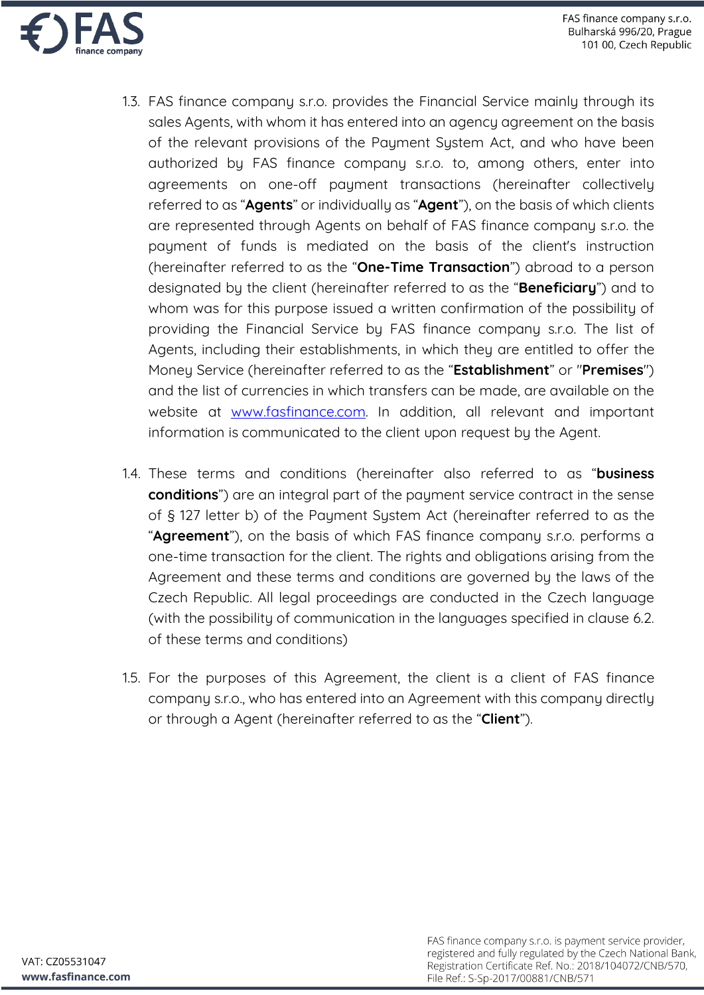

- 1.3. FAS finance company s.r.o. provides the Financial Service mainly through its sales Agents, with whom it has entered into an agency agreement on the basis of the relevant provisions of the Payment System Act, and who have been authorized by FAS finance company s.r.o. to, among others, enter into agreements on one-off payment transactions (hereinafter collectively referred to as "**Agents**" or individually as "**Agent**"), on the basis of which clients are represented through Agents on behalf of FAS finance company s.r.o. the payment of funds is mediated on the basis of the client's instruction (hereinafter referred to as the "**One-Time Transaction**") abroad to a person designated by the client (hereinafter referred to as the "**Beneficiary**") and to whom was for this purpose issued a written confirmation of the possibility of providing the Financial Service by FAS finance company s.r.o. The list of Agents, including their establishments, in which they are entitled to offer the Money Service (hereinafter referred to as the "**Establishment**" or "**Premises**") and the list of currencies in which transfers can be made, are available on the website at www.fasfinance.com. In addition, all relevant and important information is communicated to the client upon request by the Agent.
- 1.4. These terms and conditions (hereinafter also referred to as "**business conditions**") are an integral part of the payment service contract in the sense of § 127 letter b) of the Payment System Act (hereinafter referred to as the "**Agreement**"), on the basis of which FAS finance company s.r.o. performs a one-time transaction for the client. The rights and obligations arising from the Agreement and these terms and conditions are governed by the laws of the Czech Republic. All legal proceedings are conducted in the Czech language (with the possibility of communication in the languages specified in clause 6.2. of these terms and conditions)
- 1.5. For the purposes of this Agreement, the client is a client of FAS finance company s.r.o., who has entered into an Agreement with this company directly or through a Agent (hereinafter referred to as the "**Client**").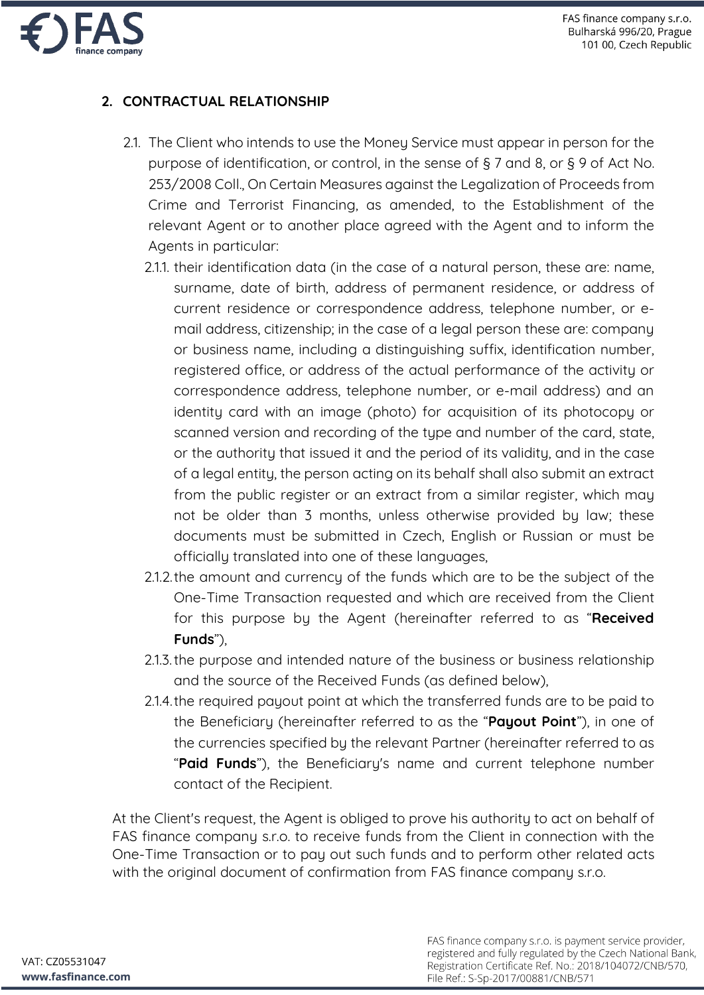

# **2. CONTRACTUAL RELATIONSHIP**

- 2.1. The Client who intends to use the Money Service must appear in person for the purpose of identification, or control, in the sense of § 7 and 8, or § 9 of Act No. 253/2008 Coll., On Certain Measures against the Legalization of Proceeds from Crime and Terrorist Financing, as amended, to the Establishment of the relevant Agent or to another place agreed with the Agent and to inform the Agents in particular:
	- 2.1.1. their identification data (in the case of a natural person, these are: name, surname, date of birth, address of permanent residence, or address of current residence or correspondence address, telephone number, or email address, citizenship; in the case of a legal person these are: company or business name, including a distinguishing suffix, identification number, registered office, or address of the actual performance of the activity or correspondence address, telephone number, or e-mail address) and an identity card with an image (photo) for acquisition of its photocopy or scanned version and recording of the type and number of the card, state, or the authority that issued it and the period of its validity, and in the case of a legal entity, the person acting on its behalf shall also submit an extract from the public register or an extract from a similar register, which may not be older than 3 months, unless otherwise provided by law; these documents must be submitted in Czech, English or Russian or must be officially translated into one of these languages,
	- 2.1.2.the amount and currency of the funds which are to be the subject of the One-Time Transaction requested and which are received from the Client for this purpose by the Agent (hereinafter referred to as "**Received Funds**"),
	- 2.1.3.the purpose and intended nature of the business or business relationship and the source of the Received Funds (as defined below),
	- 2.1.4.the required payout point at which the transferred funds are to be paid to the Beneficiary (hereinafter referred to as the "**Payout Point**"), in one of the currencies specified by the relevant Partner (hereinafter referred to as "**Paid Funds**"), the Beneficiary's name and current telephone number contact of the Recipient.

At the Client's request, the Agent is obliged to prove his authority to act on behalf of FAS finance company s.r.o. to receive funds from the Client in connection with the One-Time Transaction or to pay out such funds and to perform other related acts with the original document of confirmation from FAS finance company s.r.o.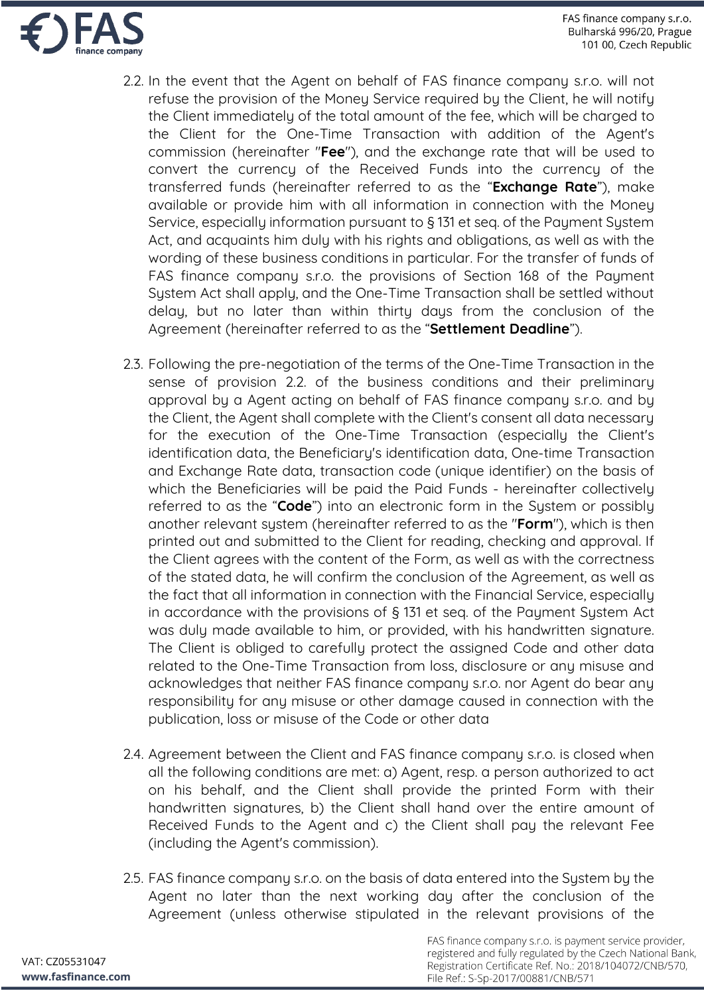

- 2.2. In the event that the Agent on behalf of FAS finance company s.r.o. will not refuse the provision of the Money Service required by the Client, he will notify the Client immediately of the total amount of the fee, which will be charged to the Client for the One-Time Transaction with addition of the Agent's commission (hereinafter "**Fee**"), and the exchange rate that will be used to convert the currency of the Received Funds into the currency of the transferred funds (hereinafter referred to as the "**Exchange Rate**"), make available or provide him with all information in connection with the Money Service, especially information pursuant to § 131 et seq. of the Payment System Act, and acquaints him duly with his rights and obligations, as well as with the wording of these business conditions in particular. For the transfer of funds of FAS finance company s.r.o. the provisions of Section 168 of the Payment System Act shall apply, and the One-Time Transaction shall be settled without delay, but no later than within thirty days from the conclusion of the Agreement (hereinafter referred to as the "**Settlement Deadline**").
- 2.3. Following the pre-negotiation of the terms of the One-Time Transaction in the sense of provision 2.2. of the business conditions and their preliminary approval by a Agent acting on behalf of FAS finance company s.r.o. and by the Client, the Agent shall complete with the Client's consent all data necessary for the execution of the One-Time Transaction (especially the Client's identification data, the Beneficiary's identification data, One-time Transaction and Exchange Rate data, transaction code (unique identifier) on the basis of which the Beneficiaries will be paid the Paid Funds - hereinafter collectively referred to as the "**Code**") into an electronic form in the System or possibly another relevant system (hereinafter referred to as the "**Form**"), which is then printed out and submitted to the Client for reading, checking and approval. If the Client agrees with the content of the Form, as well as with the correctness of the stated data, he will confirm the conclusion of the Agreement, as well as the fact that all information in connection with the Financial Service, especially in accordance with the provisions of § 131 et seq. of the Payment System Act was duly made available to him, or provided, with his handwritten signature. The Client is obliged to carefully protect the assigned Code and other data related to the One-Time Transaction from loss, disclosure or any misuse and acknowledges that neither FAS finance company s.r.o. nor Agent do bear any responsibility for any misuse or other damage caused in connection with the publication, loss or misuse of the Code or other data
- 2.4. Agreement between the Client and FAS finance company s.r.o. is closed when all the following conditions are met: a) Agent, resp. a person authorized to act on his behalf, and the Client shall provide the printed Form with their handwritten signatures, b) the Client shall hand over the entire amount of Received Funds to the Agent and c) the Client shall pay the relevant Fee (including the Agent's commission).
- 2.5. FAS finance company s.r.o. on the basis of data entered into the System by the Agent no later than the next working day after the conclusion of the Agreement (unless otherwise stipulated in the relevant provisions of the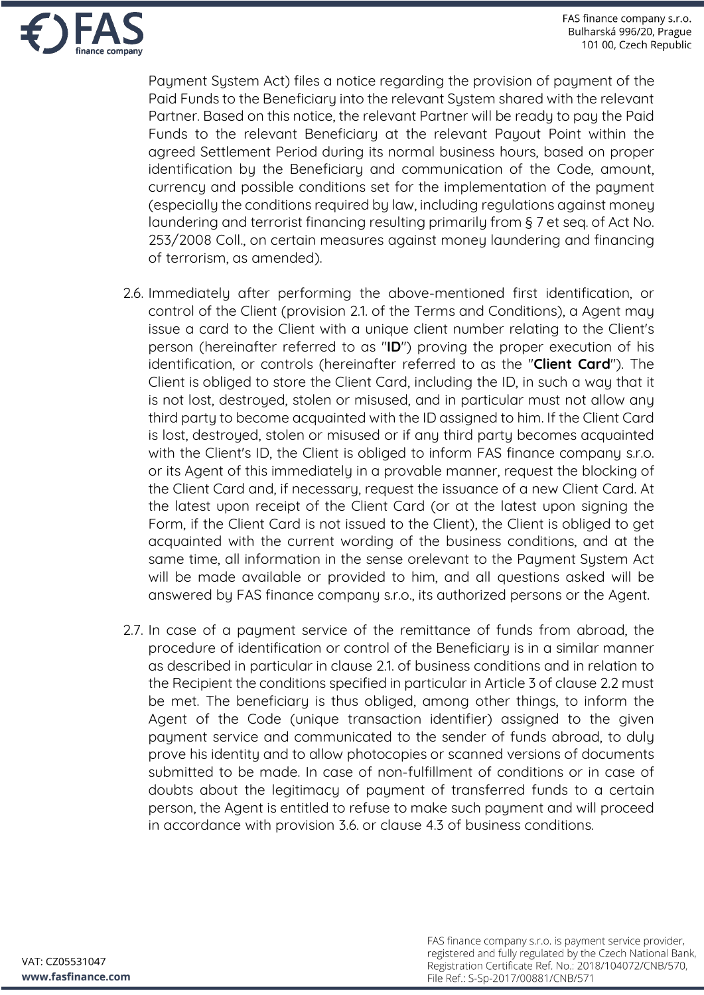

Payment System Act) files a notice regarding the provision of payment of the Paid Funds to the Beneficiary into the relevant System shared with the relevant Partner. Based on this notice, the relevant Partner will be ready to pay the Paid Funds to the relevant Beneficiary at the relevant Payout Point within the agreed Settlement Period during its normal business hours, based on proper identification by the Beneficiary and communication of the Code, amount, currency and possible conditions set for the implementation of the payment (especially the conditions required by law, including regulations against money laundering and terrorist financing resulting primarily from § 7 et seq. of Act No. 253/2008 Coll., on certain measures against money laundering and financing of terrorism, as amended).

- 2.6. Immediately after performing the above-mentioned first identification, or control of the Client (provision 2.1. of the Terms and Conditions), a Agent may issue a card to the Client with a unique client number relating to the Client's person (hereinafter referred to as "**ID**") proving the proper execution of his identification, or controls (hereinafter referred to as the "**Client Card**"). The Client is obliged to store the Client Card, including the ID, in such a way that it is not lost, destroyed, stolen or misused, and in particular must not allow any third party to become acquainted with the ID assigned to him. If the Client Card is lost, destroyed, stolen or misused or if any third party becomes acquainted with the Client's ID, the Client is obliged to inform FAS finance company s.r.o. or its Agent of this immediately in a provable manner, request the blocking of the Client Card and, if necessary, request the issuance of a new Client Card. At the latest upon receipt of the Client Card (or at the latest upon signing the Form, if the Client Card is not issued to the Client), the Client is obliged to get acquainted with the current wording of the business conditions, and at the same time, all information in the sense orelevant to the Payment System Act will be made available or provided to him, and all questions asked will be answered by FAS finance company s.r.o., its authorized persons or the Agent.
- 2.7. In case of a payment service of the remittance of funds from abroad, the procedure of identification or control of the Beneficiary is in a similar manner as described in particular in clause 2.1. of business conditions and in relation to the Recipient the conditions specified in particular in Article 3 of clause 2.2 must be met. The beneficiary is thus obliged, among other things, to inform the Agent of the Code (unique transaction identifier) assigned to the given payment service and communicated to the sender of funds abroad, to duly prove his identity and to allow photocopies or scanned versions of documents submitted to be made. In case of non-fulfillment of conditions or in case of doubts about the legitimacy of payment of transferred funds to a certain person, the Agent is entitled to refuse to make such payment and will proceed in accordance with provision 3.6. or clause 4.3 of business conditions.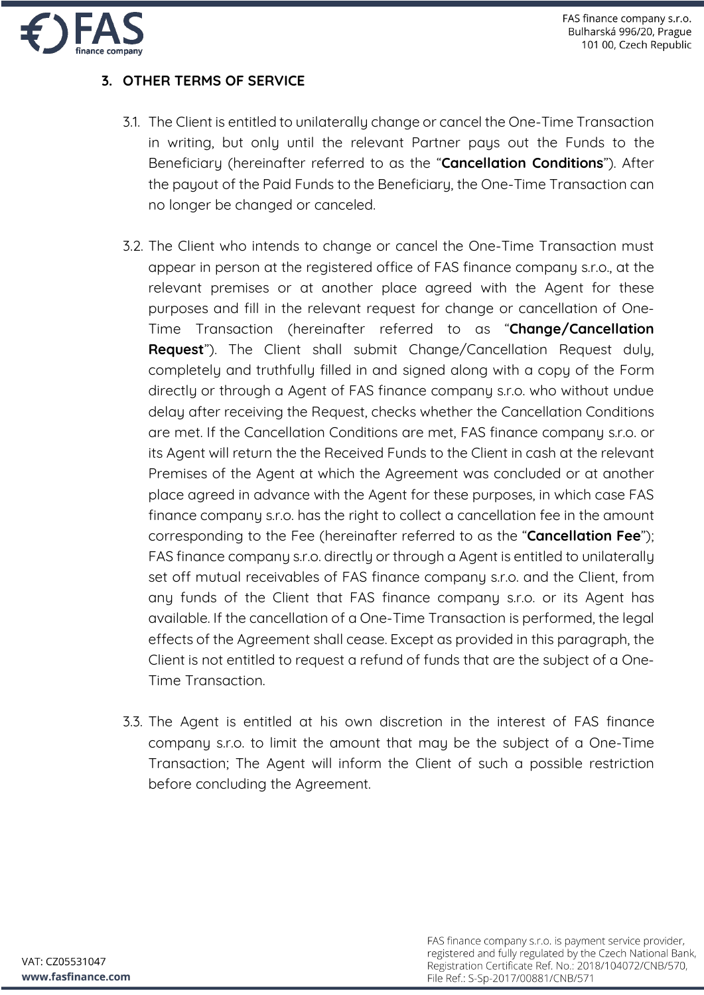

## **3. OTHER TERMS OF SERVICE**

- 3.1. The Client is entitled to unilaterally change or cancel the One-Time Transaction in writing, but only until the relevant Partner pays out the Funds to the Beneficiary (hereinafter referred to as the "**Cancellation Conditions**"). After the payout of the Paid Funds to the Beneficiary, the One-Time Transaction can no longer be changed or canceled.
- 3.2. The Client who intends to change or cancel the One-Time Transaction must appear in person at the registered office of FAS finance company s.r.o., at the relevant premises or at another place agreed with the Agent for these purposes and fill in the relevant request for change or cancellation of One-Time Transaction (hereinafter referred to as "**Change/Cancellation Request**"). The Client shall submit Change/Cancellation Request duly, completely and truthfully filled in and signed along with a copy of the Form directly or through a Agent of FAS finance company s.r.o. who without undue delay after receiving the Request, checks whether the Cancellation Conditions are met. If the Cancellation Conditions are met, FAS finance company s.r.o. or its Agent will return the the Received Funds to the Client in cash at the relevant Premises of the Agent at which the Agreement was concluded or at another place agreed in advance with the Agent for these purposes, in which case FAS finance company s.r.o. has the right to collect a cancellation fee in the amount corresponding to the Fee (hereinafter referred to as the "**Cancellation Fee**"); FAS finance company s.r.o. directly or through a Agent is entitled to unilaterally set off mutual receivables of FAS finance company s.r.o. and the Client, from any funds of the Client that FAS finance company s.r.o. or its Agent has available. If the cancellation of a One-Time Transaction is performed, the legal effects of the Agreement shall cease. Except as provided in this paragraph, the Client is not entitled to request a refund of funds that are the subject of a One-Time Transaction.
- 3.3. The Agent is entitled at his own discretion in the interest of FAS finance company s.r.o. to limit the amount that may be the subject of a One-Time Transaction; The Agent will inform the Client of such a possible restriction before concluding the Agreement.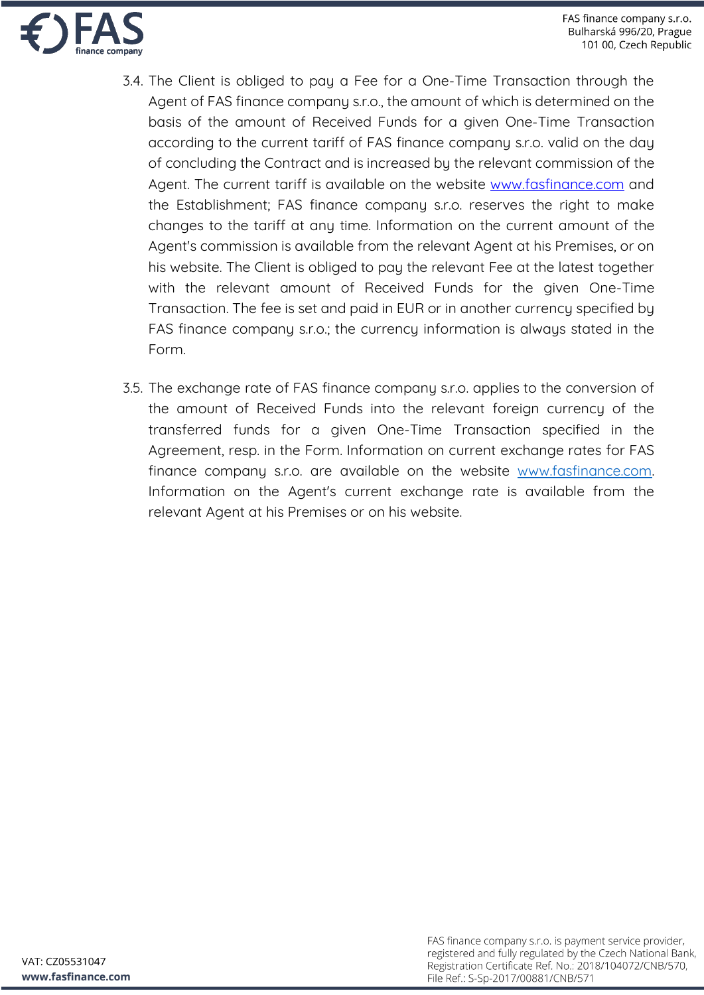

- 3.4. The Client is obliged to pay a Fee for a One-Time Transaction through the Agent of FAS finance company s.r.o., the amount of which is determined on the basis of the amount of Received Funds for a given One-Time Transaction according to the current tariff of FAS finance company s.r.o. valid on the day of concluding the Contract and is increased by the relevant commission of the Agent. The current tariff is available on the website www.fasfinance.com and the Establishment; FAS finance company s.r.o. reserves the right to make changes to the tariff at any time. Information on the current amount of the Agent's commission is available from the relevant Agent at his Premises, or on his website. The Client is obliged to pay the relevant Fee at the latest together with the relevant amount of Received Funds for the given One-Time Transaction. The fee is set and paid in EUR or in another currency specified by FAS finance company s.r.o.; the currency information is always stated in the Form.
- 3.5. The exchange rate of FAS finance company s.r.o. applies to the conversion of the amount of Received Funds into the relevant foreign currency of the transferred funds for a given One-Time Transaction specified in the Agreement, resp. in the Form. Information on current exchange rates for FAS finance company s.r.o. are available on the website www.fasfinance.com. Information on the Agent's current exchange rate is available from the relevant Agent at his Premises or on his website.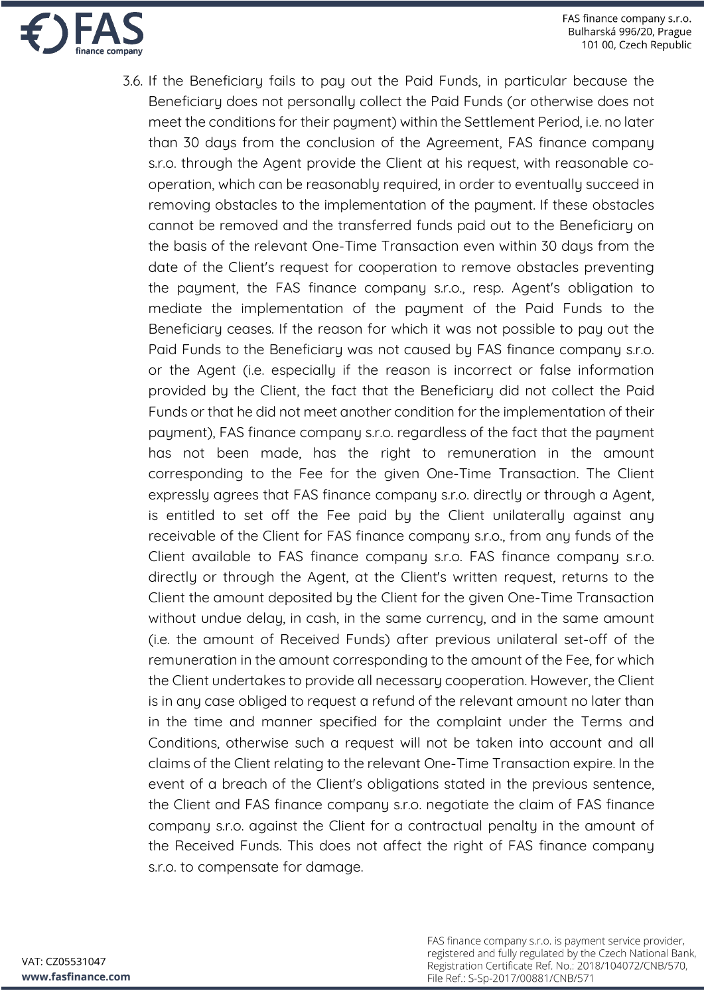

3.6. If the Beneficiary fails to pay out the Paid Funds, in particular because the Beneficiary does not personally collect the Paid Funds (or otherwise does not meet the conditions for their payment) within the Settlement Period, i.e. no later than 30 days from the conclusion of the Agreement, FAS finance company s.r.o. through the Agent provide the Client at his request, with reasonable cooperation, which can be reasonably required, in order to eventually succeed in removing obstacles to the implementation of the payment. If these obstacles cannot be removed and the transferred funds paid out to the Beneficiary on the basis of the relevant One-Time Transaction even within 30 days from the date of the Client's request for cooperation to remove obstacles preventing the payment, the FAS finance company s.r.o., resp. Agent's obligation to mediate the implementation of the payment of the Paid Funds to the Beneficiary ceases. If the reason for which it was not possible to pay out the Paid Funds to the Beneficiary was not caused by FAS finance company s.r.o. or the Agent (i.e. especially if the reason is incorrect or false information provided by the Client, the fact that the Beneficiary did not collect the Paid Funds or that he did not meet another condition for the implementation of their payment), FAS finance company s.r.o. regardless of the fact that the payment has not been made, has the right to remuneration in the amount corresponding to the Fee for the given One-Time Transaction. The Client expressly agrees that FAS finance company s.r.o. directly or through a Agent, is entitled to set off the Fee paid by the Client unilaterally against any receivable of the Client for FAS finance company s.r.o., from any funds of the Client available to FAS finance company s.r.o. FAS finance company s.r.o. directly or through the Agent, at the Client's written request, returns to the Client the amount deposited by the Client for the given One-Time Transaction without undue delay, in cash, in the same currency, and in the same amount (i.e. the amount of Received Funds) after previous unilateral set-off of the remuneration in the amount corresponding to the amount of the Fee, for which the Client undertakes to provide all necessary cooperation. However, the Client is in any case obliged to request a refund of the relevant amount no later than in the time and manner specified for the complaint under the Terms and Conditions, otherwise such a request will not be taken into account and all claims of the Client relating to the relevant One-Time Transaction expire. In the event of a breach of the Client's obligations stated in the previous sentence, the Client and FAS finance company s.r.o. negotiate the claim of FAS finance company s.r.o. against the Client for a contractual penalty in the amount of the Received Funds. This does not affect the right of FAS finance company s.r.o. to compensate for damage.

FAS finance company s.r.o. is payment service provider, registered and fully regulated by the Czech National Bank, Registration Certificate Ref. No.: 2018/104072/CNB/570, File Ref.: S-Sp-2017/00881/CNB/571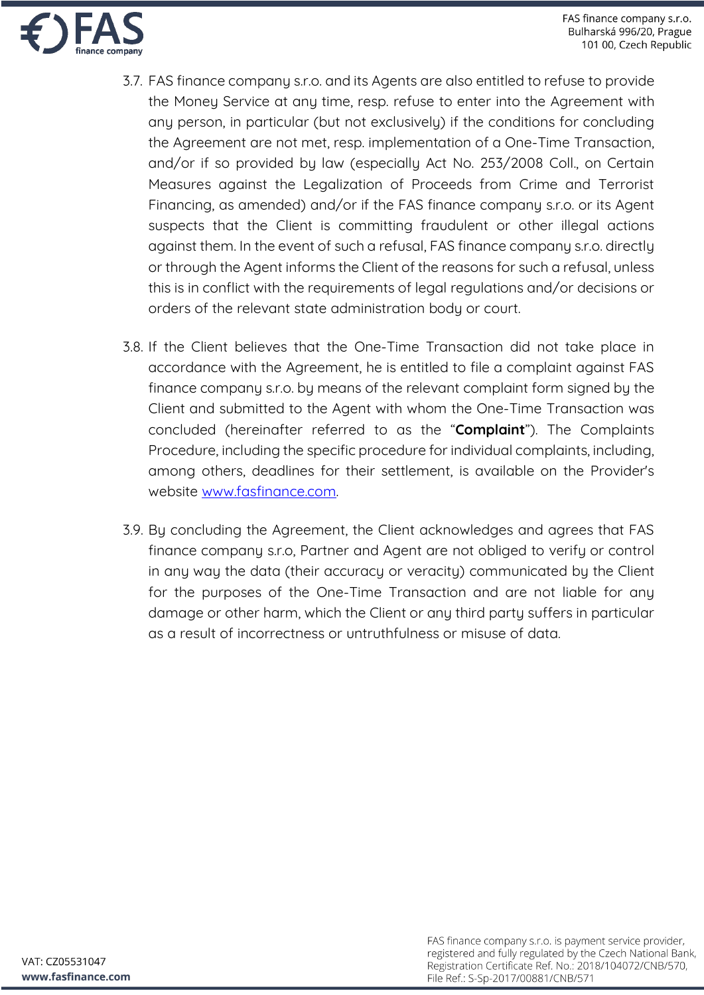

- 3.7. FAS finance company s.r.o. and its Agents are also entitled to refuse to provide the Money Service at any time, resp. refuse to enter into the Agreement with any person, in particular (but not exclusively) if the conditions for concluding the Agreement are not met, resp. implementation of a One-Time Transaction, and/or if so provided by law (especially Act No. 253/2008 Coll., on Certain Measures against the Legalization of Proceeds from Crime and Terrorist Financing, as amended) and/or if the FAS finance company s.r.o. or its Agent suspects that the Client is committing fraudulent or other illegal actions against them. In the event of such a refusal, FAS finance company s.r.o. directly or through the Agent informs the Client of the reasons for such a refusal, unless this is in conflict with the requirements of legal regulations and/or decisions or orders of the relevant state administration body or court.
- 3.8. If the Client believes that the One-Time Transaction did not take place in accordance with the Agreement, he is entitled to file a complaint against FAS finance company s.r.o. by means of the relevant complaint form signed by the Client and submitted to the Agent with whom the One-Time Transaction was concluded (hereinafter referred to as the "**Complaint**"). The Complaints Procedure, including the specific procedure for individual complaints, including, among others, deadlines for their settlement, is available on the Provider's website www.fasfinance.com.
- 3.9. By concluding the Agreement, the Client acknowledges and agrees that FAS finance company s.r.o, Partner and Agent are not obliged to verify or control in any way the data (their accuracy or veracity) communicated by the Client for the purposes of the One-Time Transaction and are not liable for any damage or other harm, which the Client or any third party suffers in particular as a result of incorrectness or untruthfulness or misuse of data.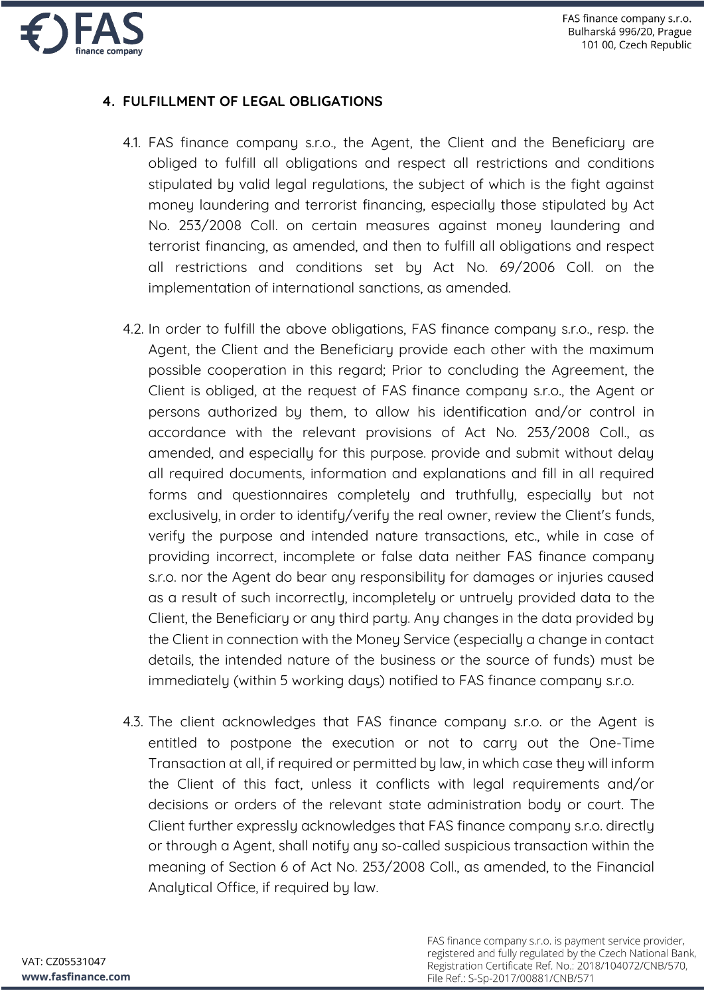

# **4. FULFILLMENT OF LEGAL OBLIGATIONS**

- 4.1. FAS finance company s.r.o., the Agent, the Client and the Beneficiary are obliged to fulfill all obligations and respect all restrictions and conditions stipulated by valid legal regulations, the subject of which is the fight against money laundering and terrorist financing, especially those stipulated by Act No. 253/2008 Coll. on certain measures against money laundering and terrorist financing, as amended, and then to fulfill all obligations and respect all restrictions and conditions set by Act No. 69/2006 Coll. on the implementation of international sanctions, as amended.
- 4.2. In order to fulfill the above obligations, FAS finance company s.r.o., resp. the Agent, the Client and the Beneficiary provide each other with the maximum possible cooperation in this regard; Prior to concluding the Agreement, the Client is obliged, at the request of FAS finance company s.r.o., the Agent or persons authorized by them, to allow his identification and/or control in accordance with the relevant provisions of Act No. 253/2008 Coll., as amended, and especially for this purpose. provide and submit without delay all required documents, information and explanations and fill in all required forms and questionnaires completely and truthfully, especially but not exclusively, in order to identify/verify the real owner, review the Client's funds, verify the purpose and intended nature transactions, etc., while in case of providing incorrect, incomplete or false data neither FAS finance company s.r.o. nor the Agent do bear any responsibility for damages or injuries caused as a result of such incorrectly, incompletely or untruely provided data to the Client, the Beneficiary or any third party. Any changes in the data provided by the Client in connection with the Money Service (especially a change in contact details, the intended nature of the business or the source of funds) must be immediately (within 5 working days) notified to FAS finance company s.r.o.
- 4.3. The client acknowledges that FAS finance company s.r.o. or the Agent is entitled to postpone the execution or not to carry out the One-Time Transaction at all, if required or permitted by law, in which case they will inform the Client of this fact, unless it conflicts with legal requirements and/or decisions or orders of the relevant state administration body or court. The Client further expressly acknowledges that FAS finance company s.r.o. directly or through a Agent, shall notify any so-called suspicious transaction within the meaning of Section 6 of Act No. 253/2008 Coll., as amended, to the Financial Analytical Office, if required by law.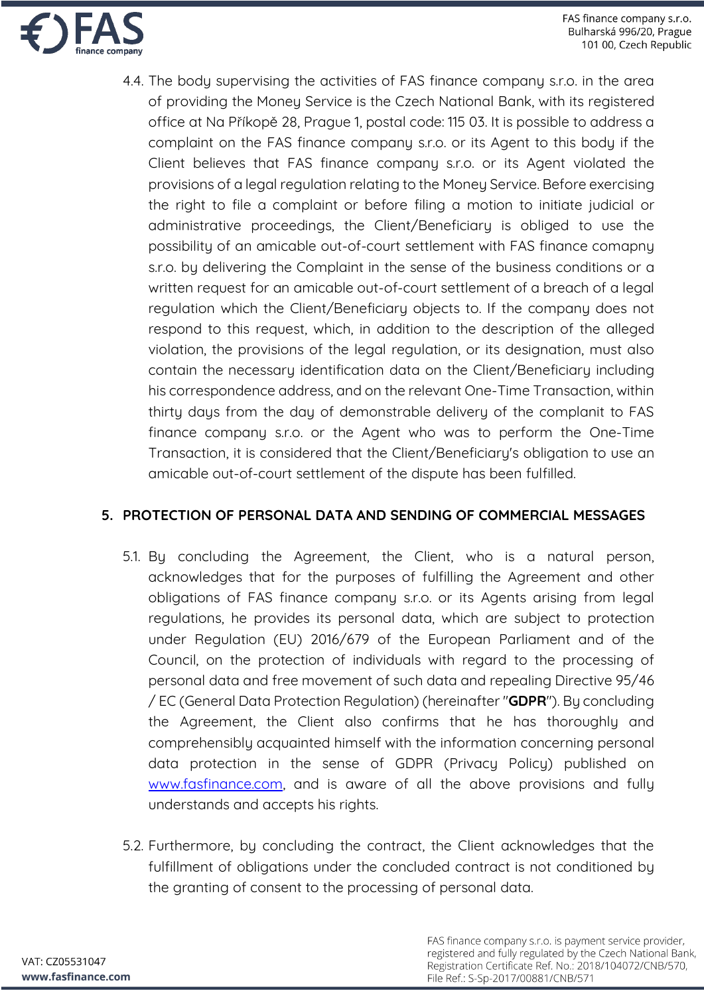

4.4. The body supervising the activities of FAS finance company s.r.o. in the area of providing the Money Service is the Czech National Bank, with its registered office at Na Příkopě 28, Prague 1, postal code: 115 03. It is possible to address a complaint on the FAS finance company s.r.o. or its Agent to this body if the Client believes that FAS finance company s.r.o. or its Agent violated the provisions of a legal regulation relating to the Money Service. Before exercising the right to file a complaint or before filing a motion to initiate judicial or administrative proceedings, the Client/Beneficiary is obliged to use the possibility of an amicable out-of-court settlement with FAS finance comapny s.r.o. by delivering the Complaint in the sense of the business conditions or a written request for an amicable out-of-court settlement of a breach of a legal regulation which the Client/Beneficiary objects to. If the company does not respond to this request, which, in addition to the description of the alleged violation, the provisions of the legal regulation, or its designation, must also contain the necessary identification data on the Client/Beneficiary including his correspondence address, and on the relevant One-Time Transaction, within thirty days from the day of demonstrable delivery of the complanit to FAS finance company s.r.o. or the Agent who was to perform the One-Time Transaction, it is considered that the Client/Beneficiary's obligation to use an amicable out-of-court settlement of the dispute has been fulfilled.

### **5. PROTECTION OF PERSONAL DATA AND SENDING OF COMMERCIAL MESSAGES**

- 5.1. By concluding the Agreement, the Client, who is a natural person, acknowledges that for the purposes of fulfilling the Agreement and other obligations of FAS finance company s.r.o. or its Agents arising from legal regulations, he provides its personal data, which are subject to protection under Regulation (EU) 2016/679 of the European Parliament and of the Council, on the protection of individuals with regard to the processing of personal data and free movement of such data and repealing Directive 95/46 / EC (General Data Protection Regulation) (hereinafter "**GDPR**"). By concluding the Agreement, the Client also confirms that he has thoroughly and comprehensibly acquainted himself with the information concerning personal data protection in the sense of GDPR (Privacy Policy) published on www.fasfinance.com, and is aware of all the above provisions and fully understands and accepts his rights.
- 5.2. Furthermore, by concluding the contract, the Client acknowledges that the fulfillment of obligations under the concluded contract is not conditioned by the granting of consent to the processing of personal data.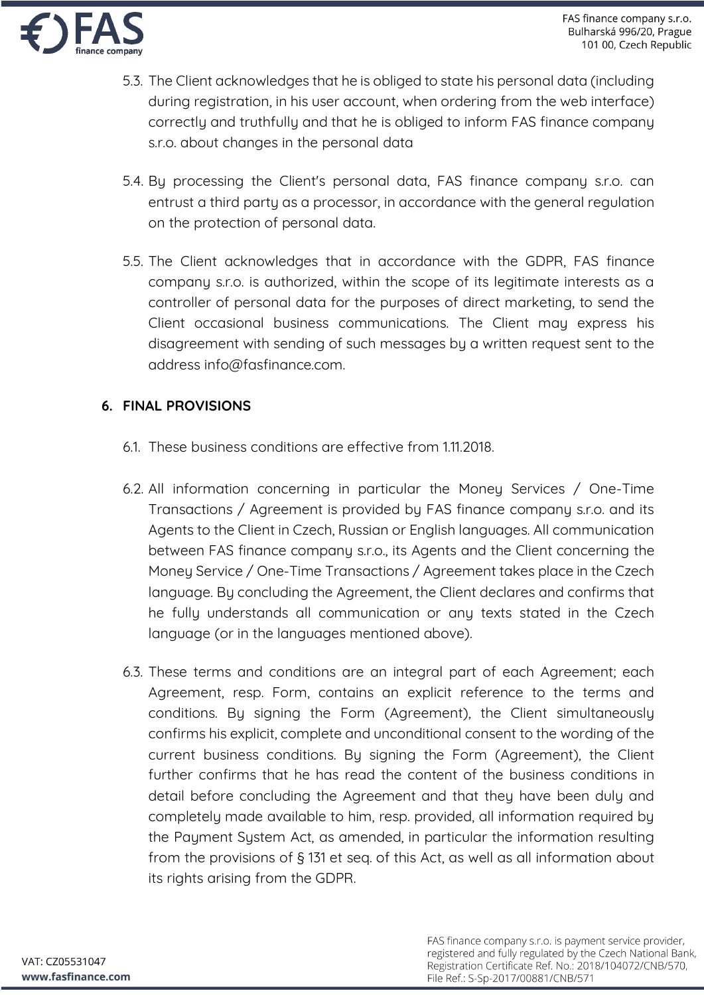

- 5.3. The Client acknowledges that he is obliged to state his personal data (including during registration, in his user account, when ordering from the web interface) correctly and truthfully and that he is obliged to inform FAS finance company s.r.o. about changes in the personal data
- 5.4. By processing the Client's personal data, FAS finance company s.r.o. can entrust a third party as a processor, in accordance with the general regulation on the protection of personal data.
- 5.5. The Client acknowledges that in accordance with the GDPR, FAS finance company s.r.o. is authorized, within the scope of its legitimate interests as a controller of personal data for the purposes of direct marketing, to send the Client occasional business communications. The Client may express his disagreement with sending of such messages by a written request sent to the address info@fasfinance.com.

# **6. FINAL PROVISIONS**

- 6.1. These business conditions are effective from 1.11.2018.
- 6.2. All information concerning in particular the Money Services / One-Time Transactions / Agreement is provided by FAS finance company s.r.o. and its Agents to the Client in Czech, Russian or English languages. All communication between FAS finance company s.r.o., its Agents and the Client concerning the Money Service / One-Time Transactions / Agreement takes place in the Czech language. By concluding the Agreement, the Client declares and confirms that he fully understands all communication or any texts stated in the Czech language (or in the languages mentioned above).
- 6.3. These terms and conditions are an integral part of each Agreement; each Agreement, resp. Form, contains an explicit reference to the terms and conditions. By signing the Form (Agreement), the Client simultaneously confirms his explicit, complete and unconditional consent to the wording of the current business conditions. By signing the Form (Agreement), the Client further confirms that he has read the content of the business conditions in detail before concluding the Agreement and that they have been duly and completely made available to him, resp. provided, all information required by the Payment System Act, as amended, in particular the information resulting from the provisions of § 131 et seq. of this Act, as well as all information about its rights arising from the GDPR.